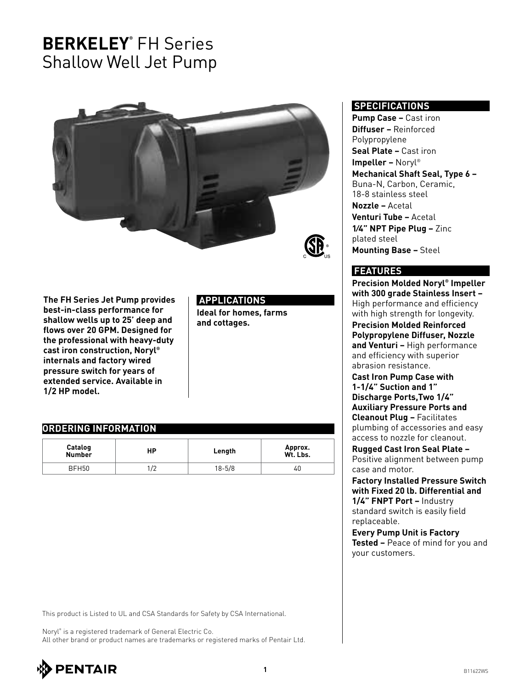## **BERKELEY®** FH Series Shallow Well Jet Pump



**The FH Series Jet Pump provides best-in-class performance for shallow wells up to 25' deep and flows over 20 GPM. Designed for the professional with heavy-duty cast iron construction, Noryl® internals and factory wired pressure switch for years of extended service. Available in 1/2 HP model.**

## **APPLICATIONS**

**Ideal for homes, farms and cottages.**

#### **ORDERING INFORMATION**

| Catalog<br><b>HP</b><br><b>Number</b> |     | Length     | Approx.<br>Wt. Lbs. |  |  |
|---------------------------------------|-----|------------|---------------------|--|--|
| BFH50                                 | 1/2 | $18 - 5/8$ | 40                  |  |  |

#### **SPECIFICATIONS**

**Pump Case –** Cast iron **Diffuser –** Reinforced Polypropylene **Seal Plate –** Cast iron **Impeller –** Noryl® **Mechanical Shaft Seal, Type 6 –**  Buna-N, Carbon, Ceramic, 18-8 stainless steel **Nozzle –** Acetal **Venturi Tube –** Acetal **1⁄4" NPT Pipe Plug –** Zinc plated steel **Mounting Base –** Steel

#### **FEATURES**

 **Precision Molded Noryl® Impeller with 300 grade Stainless Insert –**  High performance and efficiency with high strength for longevity.

**Precision Molded Reinforced Polypropylene Diffuser, Nozzle and Venturi –** High performance and efficiency with superior abrasion resistance.

 **Cast Iron Pump Case with 1-1/4" Suction and 1" Discharge Ports,Two 1/4" Auxiliary Pressure Ports and Cleanout Plug –** Facilitates plumbing of accessories and easy access to nozzle for cleanout.

 **Rugged Cast Iron Seal Plate –**  Positive alignment between pump case and motor.

 **Factory Installed Pressure Switch with Fixed 20 lb. Differential and 1/4" FNPT Port –** Industry standard switch is easily field replaceable.

 **Every Pump Unit is Factory Tested –** Peace of mind for you and your customers.

This product is Listed to UL and CSA Standards for Safety by CSA International.

Noryl® is a registered trademark of General Electric Co.

All other brand or product names are trademarks or registered marks of Pentair Ltd.